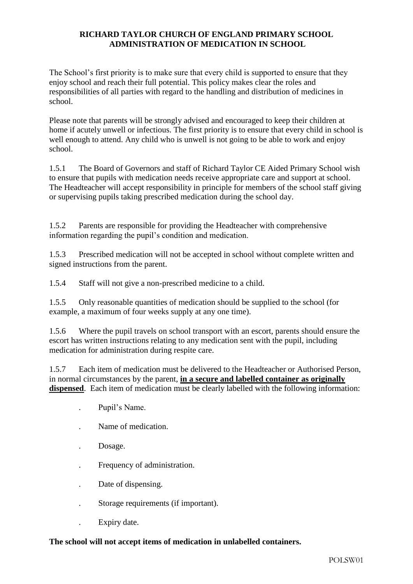## **RICHARD TAYLOR CHURCH OF ENGLAND PRIMARY SCHOOL ADMINISTRATION OF MEDICATION IN SCHOOL**

The School's first priority is to make sure that every child is supported to ensure that they enjoy school and reach their full potential. This policy makes clear the roles and responsibilities of all parties with regard to the handling and distribution of medicines in school.

Please note that parents will be strongly advised and encouraged to keep their children at home if acutely unwell or infectious. The first priority is to ensure that every child in school is well enough to attend. Any child who is unwell is not going to be able to work and enjoy school.

1.5.1 The Board of Governors and staff of Richard Taylor CE Aided Primary School wish to ensure that pupils with medication needs receive appropriate care and support at school. The Headteacher will accept responsibility in principle for members of the school staff giving or supervising pupils taking prescribed medication during the school day.

1.5.2 Parents are responsible for providing the Headteacher with comprehensive information regarding the pupil's condition and medication.

1.5.3 Prescribed medication will not be accepted in school without complete written and signed instructions from the parent.

1.5.4 Staff will not give a non-prescribed medicine to a child.

1.5.5 Only reasonable quantities of medication should be supplied to the school (for example, a maximum of four weeks supply at any one time).

1.5.6 Where the pupil travels on school transport with an escort, parents should ensure the escort has written instructions relating to any medication sent with the pupil, including medication for administration during respite care.

1.5.7 Each item of medication must be delivered to the Headteacher or Authorised Person, in normal circumstances by the parent, **in a secure and labelled container as originally dispensed**. Each item of medication must be clearly labelled with the following information:

- . Pupil's Name.
- . Name of medication.
- . Dosage.
- . Frequency of administration.
- . Date of dispensing.
- . Storage requirements (if important).
- . Expiry date.

## **The school will not accept items of medication in unlabelled containers.**